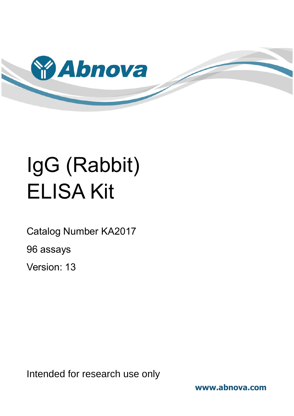

# IgG (Rabbit) ELISA Kit

Catalog Number KA2017

96 assays

Version: 13

Intended for research use only

**www.abnova.com**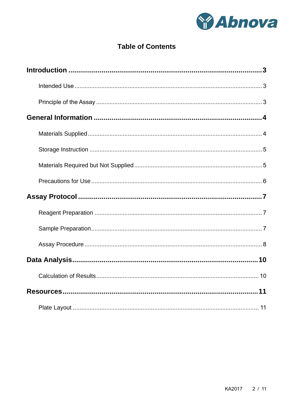

# **Table of Contents**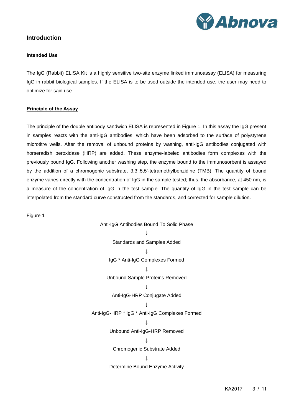

## <span id="page-2-1"></span><span id="page-2-0"></span>**Introduction**

#### **Intended Use**

The IgG (Rabbit) ELISA Kit is a highly sensitive two-site enzyme linked immunoassay (ELISA) for measuring IgG in rabbit biological samples. If the ELISA is to be used outside the intended use, the user may need to optimize for said use.

#### <span id="page-2-2"></span>**Principle of the Assay**

The principle of the double antibody sandwich ELISA is represented in Figure 1. In this assay the IgG present in samples reacts with the anti-IgG antibodies, which have been adsorbed to the surface of polystyrene microtitre wells. After the removal of unbound proteins by washing, anti-IgG antibodies conjugated with horseradish peroxidase (HRP) are added. These enzyme-labeled antibodies form complexes with the previously bound IgG. Following another washing step, the enzyme bound to the immunosorbent is assayed by the addition of a chromogenic substrate, 3,3',5,5'-tetramethylbenzidine (TMB). The quantity of bound enzyme varies directly with the concentration of IgG in the sample tested; thus, the absorbance, at 450 nm, is a measure of the concentration of IgG in the test sample. The quantity of IgG in the test sample can be interpolated from the standard curve constructed from the standards, and corrected for sample dilution.

Figure 1

Anti-IgG Antibodies Bound To Solid Phase  $\downarrow$ Standards and Samples Added ↓ IgG \* Anti-IgG Complexes Formed  $\overline{\mathbf{I}}$ Unbound Sample Proteins Removed ↓ Anti-IgG-HRP Conjugate Added **↓** Anti-IgG-HRP \* IgG \* Anti-IgG Complexes Formed  $\overline{1}$ Unbound Anti-IgG-HRP Removed ↓ Chromogenic Substrate Added ↓ Determine Bound Enzyme Activity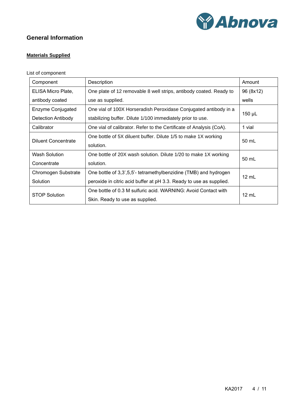

# <span id="page-3-1"></span><span id="page-3-0"></span>**General Information**

# **Materials Supplied**

# List of component

| Component                  | Description                                                         | Amount          |  |  |
|----------------------------|---------------------------------------------------------------------|-----------------|--|--|
| ELISA Micro Plate,         | One plate of 12 removable 8 well strips, antibody coated. Ready to  | 96 (8x12)       |  |  |
| antibody coated            | use as supplied.                                                    | wells           |  |  |
| Enzyme Conjugated          | One vial of 100X Horseradish Peroxidase Conjugated antibody in a    |                 |  |  |
| <b>Detection Antibody</b>  | stabilizing buffer. Dilute 1/100 immediately prior to use.          | 150 µL          |  |  |
| Calibrator                 | One vial of calibrator. Refer to the Certificate of Analysis (CoA). | 1 vial          |  |  |
| <b>Diluent Concentrate</b> | One bottle of 5X diluent buffer. Dilute 1/5 to make 1X working      | 50 mL           |  |  |
|                            | solution.                                                           |                 |  |  |
| <b>Wash Solution</b>       | One bottle of 20X wash solution. Dilute 1/20 to make 1X working     | 50 mL           |  |  |
| Concentrate                | solution.                                                           |                 |  |  |
| Chromogen Substrate        | One bottle of 3,3',5,5'- tetramethylbenzidine (TMB) and hydrogen    | $12 \text{ mL}$ |  |  |
| Solution                   | peroxide in citric acid buffer at pH 3.3. Ready to use as supplied. |                 |  |  |
| <b>STOP Solution</b>       | One bottle of 0.3 M sulfuric acid. WARNING: Avoid Contact with      | $12 \text{ mL}$ |  |  |
|                            | Skin. Ready to use as supplied.                                     |                 |  |  |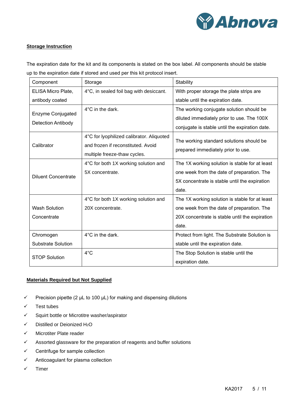

#### <span id="page-4-0"></span>**Storage Instruction**

The expiration date for the kit and its components is stated on the box label. All components should be stable up to the expiration date if stored and used per this kit protocol insert.

| Component                  | Storage                                                                                                         | Stability                                                                      |
|----------------------------|-----------------------------------------------------------------------------------------------------------------|--------------------------------------------------------------------------------|
| ELISA Micro Plate,         | 4°C, in sealed foil bag with desiccant.                                                                         | With proper storage the plate strips are                                       |
| antibody coated            |                                                                                                                 | stable until the expiration date.                                              |
| Enzyme Conjugated          | $4^{\circ}$ C in the dark.                                                                                      | The working conjugate solution should be                                       |
|                            |                                                                                                                 | diluted immediately prior to use. The 100X                                     |
| <b>Detection Antibody</b>  |                                                                                                                 | conjugate is stable until the expiration date.                                 |
| Calibrator                 | 4°C for lyophilized calibrator. Aliquoted<br>and frozen if reconstituted. Avoid<br>multiple freeze-thaw cycles. | The working standard solutions should be<br>prepared immediately prior to use. |
|                            | 4°C for both 1X working solution and                                                                            | The 1X working solution is stable for at least                                 |
| <b>Diluent Concentrate</b> | 5X concentrate.                                                                                                 | one week from the date of preparation. The                                     |
|                            |                                                                                                                 | 5X concentrate is stable until the expiration                                  |
|                            |                                                                                                                 | date.                                                                          |
|                            | 4°C for both 1X working solution and                                                                            | The 1X working solution is stable for at least                                 |
| <b>Wash Solution</b>       | 20X concentrate.                                                                                                | one week from the date of preparation. The                                     |
| Concentrate                |                                                                                                                 | 20X concentrate is stable until the expiration                                 |
|                            |                                                                                                                 | date.                                                                          |
| Chromogen                  | 4°C in the dark.                                                                                                | Protect from light. The Substrate Solution is                                  |
| <b>Substrate Solution</b>  |                                                                                                                 | stable until the expiration date.                                              |
| <b>STOP Solution</b>       | $4^{\circ}$ C                                                                                                   | The Stop Solution is stable until the                                          |
|                            |                                                                                                                 | expiration date.                                                               |

#### <span id="page-4-1"></span>**Materials Required but Not Supplied**

- $\checkmark$  Precision pipette (2 µL to 100 µL) for making and dispensing dilutions
- ✓ Test tubes
- ✓ Squirt bottle or Microtitre washer/aspirator
- ✓ Distilled or Deionized H2O
- ✓ Microtiter Plate reader
- ✓ Assorted glassware for the preparation of reagents and buffer solutions
- ✓ Centrifuge for sample collection
- ✓ Anticoagulant for plasma collection
- ✓ Timer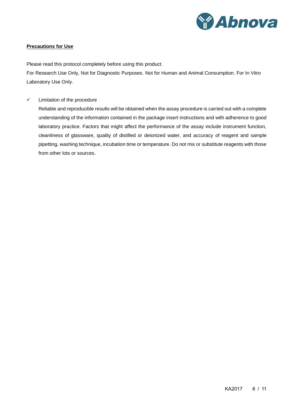

#### <span id="page-5-0"></span>**Precautions for Use**

Please read this protocol completely before using this product.

For Research Use Only, Not for Diagnostic Purposes. Not for Human and Animal Consumption. For In Vitro Laboratory Use Only.

✓ Limitation of the procedure

Reliable and reproducible results will be obtained when the assay procedure is carried out with a complete understanding of the information contained in the package insert instructions and with adherence to good laboratory practice. Factors that might affect the performance of the assay include instrument function, cleanliness of glassware, quality of distilled or deionized water, and accuracy of reagent and sample pipetting, washing technique, incubation time or temperature. Do not mix or substitute reagents with those from other lots or sources.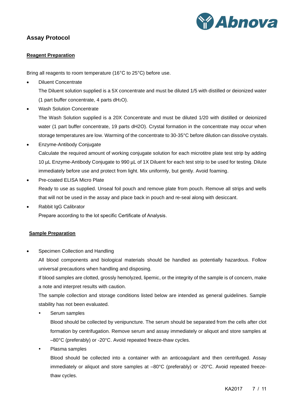

# <span id="page-6-1"></span><span id="page-6-0"></span>**Assay Protocol**

#### **Reagent Preparation**

Bring all reagents to room temperature (16°C to 25°C) before use.

• Diluent Concentrate

The Diluent solution supplied is a 5X concentrate and must be diluted 1/5 with distilled or deionized water (1 part buffer concentrate, 4 parts  $dH_2O$ ).

• Wash Solution Concentrate

The Wash Solution supplied is a 20X Concentrate and must be diluted 1/20 with distilled or deionized water (1 part buffer concentrate, 19 parts dH2O). Crystal formation in the concentrate may occur when storage temperatures are low. Warming of the concentrate to 30-35°C before dilution can dissolve crystals.

- Enzyme-Antibody Conjugate Calculate the required amount of working conjugate solution for each microtitre plate test strip by adding 10 µL Enzyme-Antibody Conjugate to 990 µL of 1X Diluent for each test strip to be used for testing. Dilute immediately before use and protect from light. Mix uniformly, but gently. Avoid foaming.
- Pre-coated ELISA Micro Plate Ready to use as supplied. Unseal foil pouch and remove plate from pouch. Remove all strips and wells that will not be used in the assay and place back in pouch and re-seal along with desiccant.
- Rabbit IgG Calibrator

Prepare according to the lot specific Certificate of Analysis.

#### <span id="page-6-2"></span>**Sample Preparation**

Specimen Collection and Handling

All blood components and biological materials should be handled as potentially hazardous. Follow universal precautions when handling and disposing.

If blood samples are clotted, grossly hemolyzed, lipemic, or the integrity of the sample is of concern, make a note and interpret results with caution.

The sample collection and storage conditions listed below are intended as general guidelines. Sample stability has not been evaluated.

Serum samples

Blood should be collected by venipuncture. The serum should be separated from the cells after clot formation by centrifugation. Remove serum and assay immediately or aliquot and store samples at –80°C (preferably) or -20°C. Avoid repeated freeze-thaw cycles.

Plasma samples

Blood should be collected into a container with an anticoagulant and then centrifuged. Assay immediately or aliquot and store samples at –80°C (preferably) or -20°C. Avoid repeated freezethaw cycles.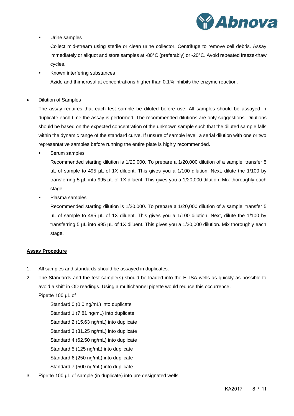

#### Urine samples

Collect mid-stream using sterile or clean urine collector. Centrifuge to remove cell debris. Assay immediately or aliquot and store samples at -80°C (preferably) or -20°C. Avoid repeated freeze-thaw cycles.

 Known interfering substances Azide and thimerosal at concentrations higher than 0.1% inhibits the enzyme reaction.

• Dilution of Samples

The assay requires that each test sample be diluted before use. All samples should be assayed in duplicate each time the assay is performed. The recommended dilutions are only suggestions. Dilutions should be based on the expected concentration of the unknown sample such that the diluted sample falls within the dynamic range of the standard curve. If unsure of sample level, a serial dilution with one or two representative samples before running the entire plate is highly recommended.

Serum samples

Recommended starting dilution is 1/20,000. To prepare a 1/20,000 dilution of a sample, transfer 5 µL of sample to 495 µL of 1X diluent. This gives you a 1/100 dilution. Next, dilute the 1/100 by transferring 5 µL into 995 µL of 1X diluent. This gives you a 1/20,000 dilution. Mix thoroughly each stage.

Plasma samples

Recommended starting dilution is 1/20,000. To prepare a 1/20,000 dilution of a sample, transfer 5 µL of sample to 495 µL of 1X diluent. This gives you a 1/100 dilution. Next, dilute the 1/100 by transferring 5 µL into 995 µL of 1X diluent. This gives you a 1/20,000 dilution. Mix thoroughly each stage.

#### <span id="page-7-0"></span>**Assay Procedure**

- 1. All samples and standards should be assayed in duplicates.
- 2. The Standards and the test sample(s) should be loaded into the ELISA wells as quickly as possible to avoid a shift in OD readings. Using a multichannel pipette would reduce this occurrence. Pipette 100 μL of

Standard 0 (0.0 ng/mL) into duplicate Standard 1 (7.81 ng/mL) into duplicate Standard 2 (15.63 ng/mL) into duplicate Standard 3 (31.25 ng/mL) into duplicate Standard 4 (62.50 ng/mL) into duplicate Standard 5 (125 ng/mL) into duplicate Standard 6 (250 ng/mL) into duplicate Standard 7 (500 ng/mL) into duplicate

3. Pipette 100 μL of sample (in duplicate) into pre designated wells.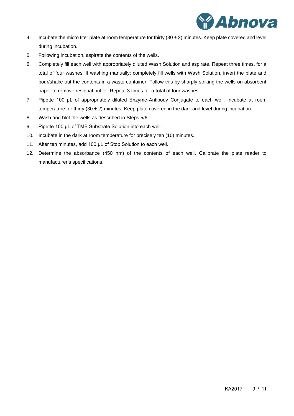

- 4. Incubate the micro titer plate at room temperature for thirty  $(30 \pm 2)$  minutes. Keep plate covered and level during incubation.
- 5. Following incubation, aspirate the contents of the wells.
- 6. Completely fill each well with appropriately diluted Wash Solution and aspirate. Repeat three times, for a total of four washes. If washing manually: completely fill wells with Wash Solution, invert the plate and pour/shake out the contents in a waste container. Follow this by sharply striking the wells on absorbent paper to remove residual buffer. Repeat 3 times for a total of four washes.
- 7. Pipette 100 μL of appropriately diluted Enzyme-Antibody Conjugate to each well. Incubate at room temperature for thirty (30  $\pm$  2) minutes. Keep plate covered in the dark and level during incubation.
- 8. Wash and blot the wells as described in Steps 5/6.
- 9. Pipette 100 μL of TMB Substrate Solution into each well.
- 10. Incubate in the dark at room temperature for precisely ten (10) minutes.
- 11. After ten minutes, add 100 μL of Stop Solution to each well.
- 12. Determine the absorbance (450 nm) of the contents of each well. Calibrate the plate reader to manufacturer's specifications.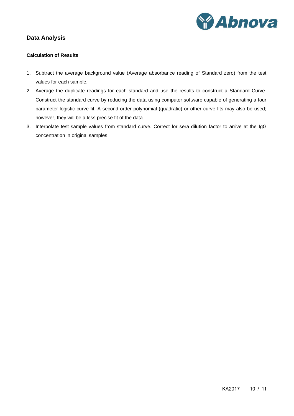

# <span id="page-9-1"></span><span id="page-9-0"></span>**Data Analysis**

#### **Calculation of Results**

- 1. Subtract the average background value (Average absorbance reading of Standard zero) from the test values for each sample.
- 2. Average the duplicate readings for each standard and use the results to construct a Standard Curve. Construct the standard curve by reducing the data using computer software capable of generating a four parameter logistic curve fit. A second order polynomial (quadratic) or other curve fits may also be used; however, they will be a less precise fit of the data.
- 3. Interpolate test sample values from standard curve. Correct for sera dilution factor to arrive at the IgG concentration in original samples.